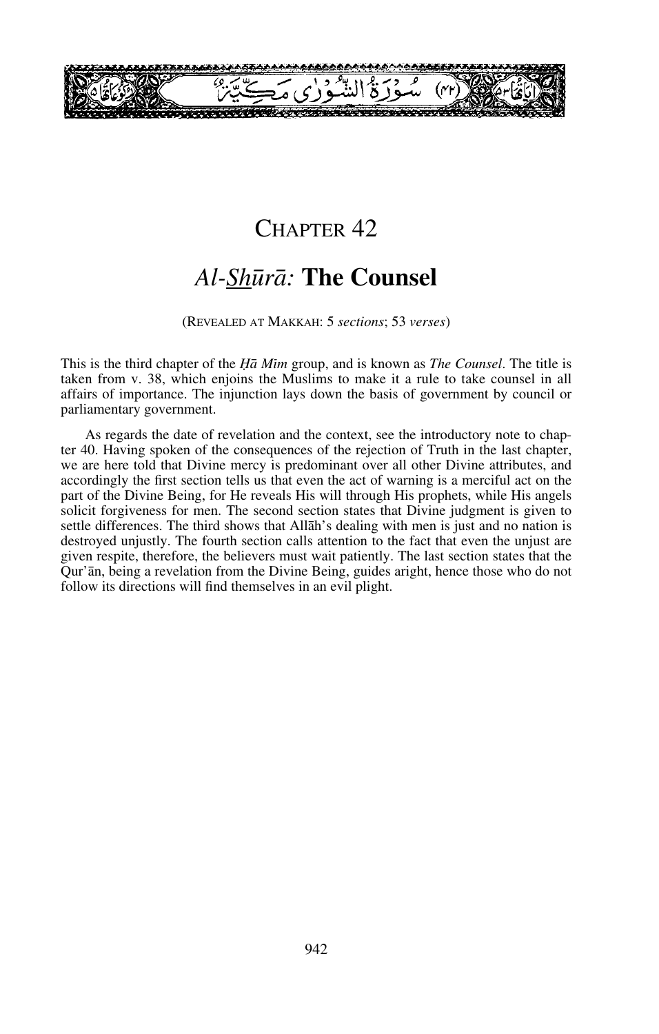

# CHAPTER<sub>42</sub>

# *Al-Sh∂rå:* **The Counsel**

#### (REVEALED AT MAKKAH: 5 *sections*; 53 *verses*)

This is the third chapter of the *Ïå Mßm* group, and is known as *The Counsel*. The title is taken from v. 38, which enjoins the Muslims to make it a rule to take counsel in all affairs of importance. The injunction lays down the basis of government by council or parliamentary government.

As regards the date of revelation and the context, see the introductory note to chapter 40. Having spoken of the consequences of the rejection of Truth in the last chapter, we are here told that Divine mercy is predominant over all other Divine attributes, and accordingly the first section tells us that even the act of warning is a merciful act on the part of the Divine Being, for He reveals His will through His prophets, while His angels solicit forgiveness for men. The second section states that Divine judgment is given to settle differences. The third shows that Allåh's dealing with men is just and no nation is destroyed unjustly. The fourth section calls attention to the fact that even the unjust are given respite, therefore, the believers must wait patiently. The last section states that the Qur'ån, being a revelation from the Divine Being, guides aright, hence those who do not follow its directions will find themselves in an evil plight.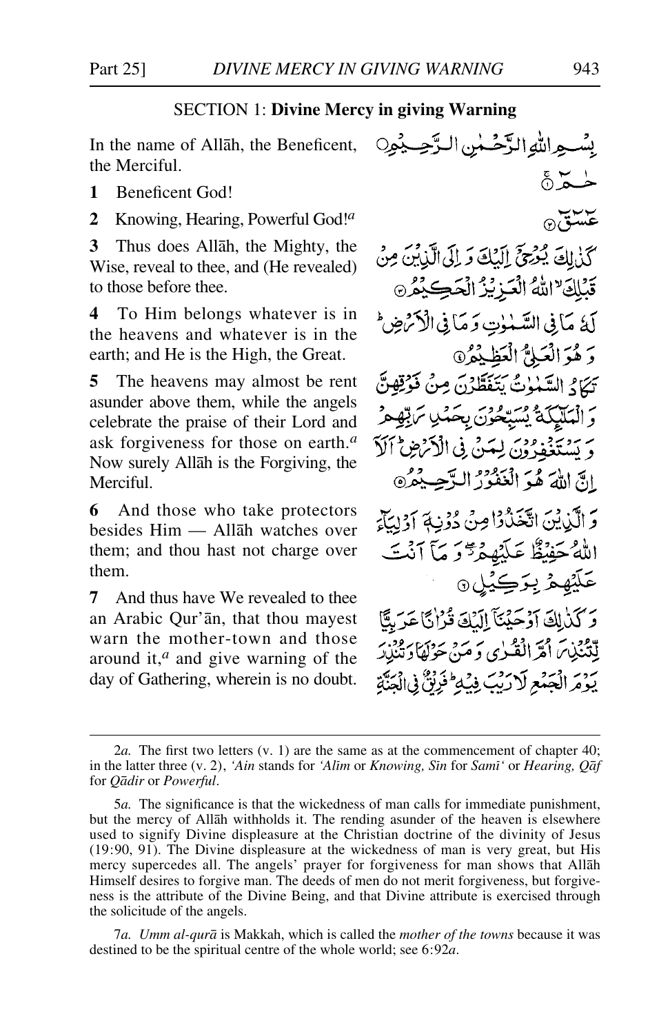### SECTION 1: **Divine Mercy in giving Warning**

In the name of Allåh, the Beneficent, the Merciful.

**1** Beneficent God!

**2** Knowing, Hearing, Powerful God!*<sup>a</sup>*

**3** Thus does Allåh, the Mighty, the Wise, reveal to thee, and (He revealed) to those before thee.

**4** To Him belongs whatever is in the heavens and whatever is in the earth; and He is the High, the Great.

**5** The heavens may almost be rent asunder above them, while the angels celebrate the praise of their Lord and ask forgiveness for those on earth.*<sup>a</sup>* Now surely Allåh is the Forgiving, the Merciful.

**6** And those who take protectors besides Him — Allåh watches over them; and thou hast not charge over them.

**7** And thus have We revealed to thee an Arabic Qur'ån, that thou mayest warn the mother-town and those around it,*<sup>a</sup>* and give warning of the day of Gathering, wherein is no doubt.

بِيْسِبِهِ اللَّهِ الدَّخْسِينِ الدَّحِسِيْبِهِ0  $\stackrel{5}{\circ}$   $\stackrel{1}{\sim}$ عسة ه كَذٰلِكَ يُوْجِعَ إِلَيْكَ وَ إِلَى الَّذِينَ مِنْ قَبْلِكَ "اللَّهُ الْعَزِيْزُ الْحَكِيْمُ @ لَهُ مَأْ فِي السَّبْنُوتِ وَ مَأْ فِي الْأَمْرَضِ ۖ وَ هُوَ الْعَلَمِ ۗ الْعَظَيْمُ ۞ تِكَامُ السَّنْوٰتُ يَتَفَطَّرْنَ مِنْ فَوْقِهِنَّ وَالْمَلَيْكَةُ يُسَبِّحُونَ بِحَكْيِ مَرْتِهِجْ وَ يَسْتَغْفِدُونَ لِيَسَنَّ فِي الْأَنْرَضِ ٱلْأَ الِّ اللَّهَ هُوَ الْغَفْرُرُ الرَّحِيْمُرُ وَ الَّذِينَ اتَّخَذُوْاضَ دُوْنِيَّةَ آَوْلِيَّآَةً اللهُ حَفِيظٌ عَلَيْهِمْرٌ دَ مَآ أَنۡتَ عَلَيْهِمْ بِرَڪِيُل@ وَكَنْ لِكَ آَدْ حَنْنَآ الَّذِكَ قُدْ إِنَّا عَدَ مِنَّا لِتَنْذِينَ أَمْرَ الْقُرْيِ وَمَنْ حَوْلَهَا وَتَنْزِدَ يَوْمَ الْجَمْعِ لَارَيْبَ فِيْهِ فَرَيْنٌ فِى الْجَنَّةِ

7*a. Umm al-qurå* is Makkah, which is called the *mother of the towns* because it was destined to be the spiritual centre of the whole world; see 6:92*a*.

<sup>2</sup>*a.* The first two letters (v. 1) are the same as at the commencement of chapter 40; in the latter three (v. 2), *'Ain* stands for *'Alim* or *Knowing, Sin* for *Sami'* or *Hearing, Qaf* for *Qådir* or *Powerful*.

<sup>5</sup>*a.* The significance is that the wickedness of man calls for immediate punishment, but the mercy of Allåh withholds it. The rending asunder of the heaven is elsewhere used to signify Divine displeasure at the Christian doctrine of the divinity of Jesus (19:90, 91). The Divine displeasure at the wickedness of man is very great, but His mercy supercedes all. The angels' prayer for forgiveness for man shows that Allåh Himself desires to forgive man. The deeds of men do not merit forgiveness, but forgiveness is the attribute of the Divine Being, and that Divine attribute is exercised through the solicitude of the angels.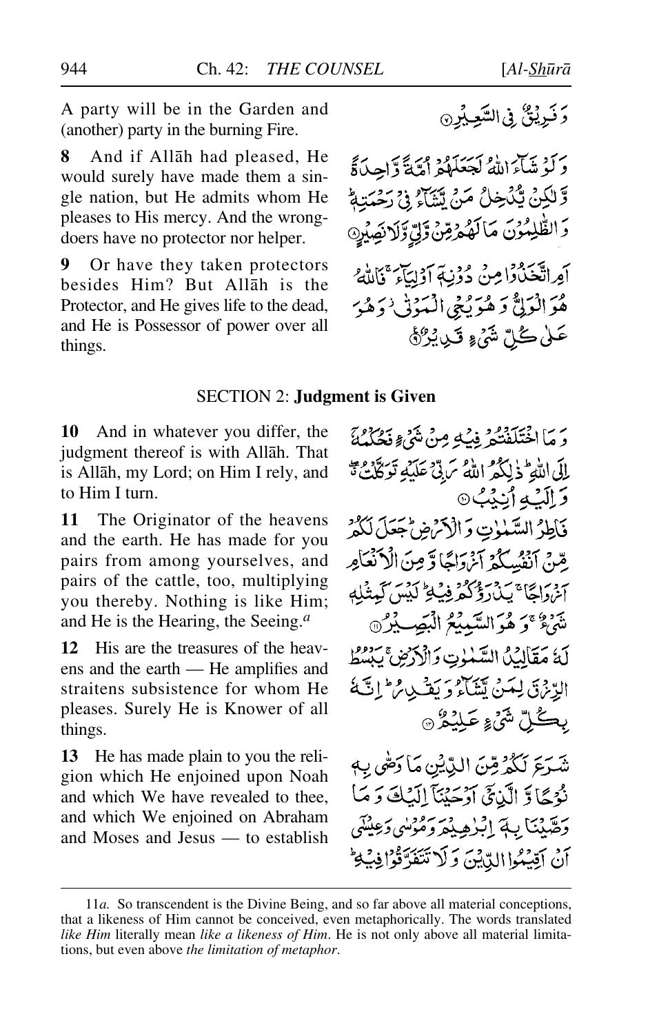**8** And if Allåh had pleased, He would surely have made them a single nation, but He admits whom He pleases to His mercy. And the wrongdoers have no protector nor helper.

**9** Or have they taken protectors besides Him? But Allåh is the Protector, and He gives life to the dead, and He is Possessor of power over all things.

وَكَوْشَاءَ اللَّهُ لَجَعَلَهُمْ أَمَّةً وَّاحِدَةً وَّ لَٰكِنۡ يُّكۡخِلُ مَنۡ يَّسَٰٓأَ ۚ فِيۡ رَحۡمَتِهٖؕ وَالظُّٰلِمُوْنَ مَالَهُمْ قِنْ وَلِي وَلَانِصِيْرِ 9 أَمِراتَكْنَدُوْا مِنْ دُوْنِةِ أَوْلِيَآءَ ۚ فَاللَّهُ هُوَ الْوَلِيُّ وَ هُوَ يُنِجِي الْمَوْتِي ٰ وَهُوَ عَلَىٰ گُلِّ شَيْءٍ قَـٰدِيْـُرْكَةَ

### SECTION 2: **Judgment is Given**

**10** And in whatever you differ, the judgment thereof is with Allåh. That is Allåh, my Lord; on Him I rely, and to Him I turn.

**11** The Originator of the heavens and the earth. He has made for you pairs from among yourselves, and pairs of the cattle, too, multiplying you thereby. Nothing is like Him; and He is the Hearing, the Seeing.*<sup>a</sup>*

**12** His are the treasures of the heavens and the earth — He amplifies and straitens subsistence for whom He pleases. Surely He is Knower of all things.

**13** He has made plain to you the religion which He enjoined upon Noah and which We have revealed to thee, and which We enjoined on Abraham and Moses and Jesus — to establish

دَ مَا اخْتَلَفْتُمْ فِبُ2ٍ مِنْ شَيْءٍ مَهْ دَمَنِهِمْ إِلَى اللَّهِ ۖ ذٰ إِنَّكُمُ اللَّهُ سَ بِّي عَلَيْهِ تَوِكَّلْتَ تَهُ **دَ اِلَيۡهِ أَيۡنِيُ**نِ ۞ فآطِرُ السَّمْوٰتِ وَالْأَنْرَضِ جَعَلَ لَكُمْ بِقَنَّ أَنْفُسَكُمْ آَيْنَ آَءًا وَّ مِنَ الْأَنْعَامِرِ آخرة الحَاجَبِدْدُ وَكُثْرَ فِي لِمَحْ كَيْسَ كَعِنْبِلِهِ شَيْءٌ ۚ وَ هُوَ السَّبِيبِيُّ الْبَصِيبِيْنَ ﴾ لَهُ مَقَالِيُلُ السَّلْوٰتِ وَالْأَرْضِ يَبْسُطُ الرِّنْ لَى لِمَنْ يَسْلَعُ وَيَشْهِدُ مِنْ إِنَّةَ بِڪُلِّ شَيْءٍ عَلِيْمُرُ @ شَرَعَ لَكُمْ قِنَ الدِّيْنِ مَا دَصَّى بِهِ نُوْجًا وَ الَّذِيَّ آَدْ حَيْنَاً إِلَيْكَ وَ مَا دَهَّدْنَا بِ4َ إِبْرُهِيْمَرَ دَهْوْلُبِي دَعِيْتَنِي أَنْ أَقِيْبُوا الدِّيْنَ وَلَا تَتَفَدَّقُوْا فِي

<sup>11</sup>*a.* So transcendent is the Divine Being, and so far above all material conceptions, that a likeness of Him cannot be conceived, even metaphorically. The words translated *like Him* literally mean *like a likeness of Him*. He is not only above all material limitations, but even above *the limitation of metaphor*.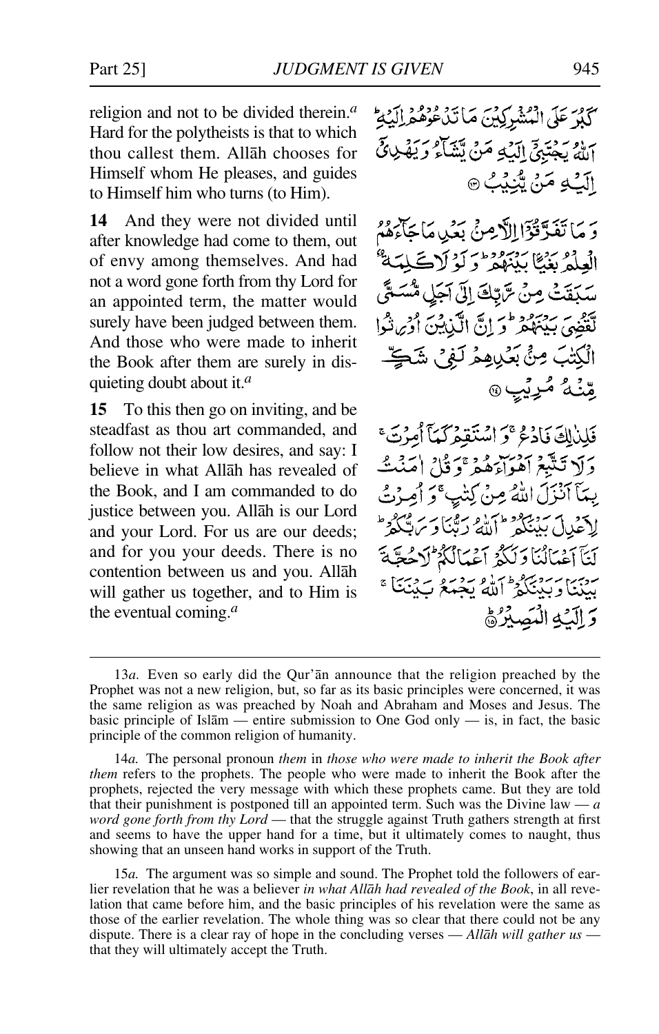religion and not to be divided therein.*<sup>a</sup>* Hard for the polytheists is that to which thou callest them. Allåh chooses for Himself whom He pleases, and guides to Himself him who turns (to Him).

**14** And they were not divided until after knowledge had come to them, out of envy among themselves. And had not a word gone forth from thy Lord for an appointed term, the matter would surely have been judged between them. And those who were made to inherit the Book after them are surely in disquieting doubt about it.*<sup>a</sup>*

**15** To this then go on inviting, and be steadfast as thou art commanded, and follow not their low desires, and say: I believe in what Allåh has revealed of the Book, and I am commanded to do justice between you. Allåh is our Lord and your Lord. For us are our deeds; and for you your deeds. There is no contention between us and you. Allåh will gather us together, and to Him is the eventual coming.*<sup>a</sup>*

سوري دود سوسر<br>كبر على البشركين ماتيد عوهو البيع بِ إِوْ - دَيْرَ إِلَيْهِ مَنْ يَتَنَاءُ وَيَهْ الَّكْ2ٍ مَنْ يُبْنِيْبُ ۞

وَ مَا تَفَدَّقُوْٓا!لَّاهِنَّ بَعْدِ مَا حَاءَهُمْ العلةُ بَيْئًا بَيْبَ وَمُؤْمَرَ لَوْ لَاڪْلِمَهَ سَكَفَتْ مِنْ سَّتِكَ إِلَىٰ آَجَلِ مُّسَدَ لْقَضِيَ بِيَنَهُكُمْ فَرَ إِنَّ الْكَيْشِينَ أَوْحِ نَثْوا الْكِتْبَ مِنْ بَعْدِيهِمْ لَفِي شَڪِّ مِّنْتُهُ مُرِيِّبٍ

فَلِيْلِكَ فَإِدْمُ ۚ وَ اسْتَقِيمْ كَمَآ أُمِنۡ تَ ۚ دَلَا تَتَبَعَ آهُوَاءَهُمْ ۚ وَ قُالَ اٰ مَنۡتُ بِيمَآ أَنۡذَلَ اللَّهُ مِنۡ كِنَيۡبِ ۚ وَ أَصِرۡتُ لاحمداً بمنهجو وسلاه برقيباً وسر أَيَآ أَعْمَالُنَا دَلَكُمۡ أَعۡمَالُكُمۡ لَا دَ ۔ پیما سروج کو اللہ بجبکہ ب؟<br>مینیا ویکنگو اللہ بجبکہ پ وَ الْبَهِ الْمَصِبِرُهُ

<sup>13</sup>*a.* Even so early did the Qur'ån announce that the religion preached by the Prophet was not a new religion, but, so far as its basic principles were concerned, it was the same religion as was preached by Noah and Abraham and Moses and Jesus. The basic principle of Isl $\bar{a}$ m — entire submission to One God only — is, in fact, the basic principle of the common religion of humanity.

<sup>14</sup>*a.* The personal pronoun *them* in *those who were made to inherit the Book after them* refers to the prophets. The people who were made to inherit the Book after the prophets, rejected the very message with which these prophets came. But they are told that their punishment is postponed till an appointed term. Such was the Divine law — *a word gone forth from thy Lord* — that the struggle against Truth gathers strength at first and seems to have the upper hand for a time, but it ultimately comes to naught, thus showing that an unseen hand works in support of the Truth.

<sup>15</sup>*a.* The argument was so simple and sound. The Prophet told the followers of earlier revelation that he was a believer *in what Allåh had revealed of the Book*, in all revelation that came before him, and the basic principles of his revelation were the same as those of the earlier revelation. The whole thing was so clear that there could not be any dispute. There is a clear ray of hope in the concluding verses — *Allåh will gather us* that they will ultimately accept the Truth.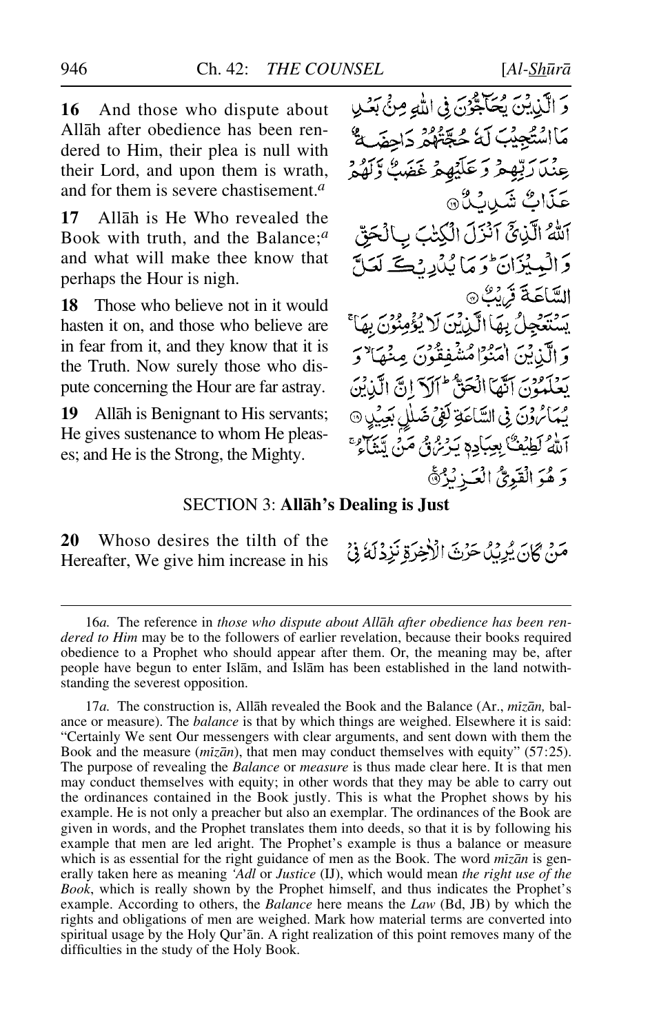**16** And those who dispute about Allåh after obedience has been rendered to Him, their plea is null with their Lord, and upon them is wrath, and for them is severe chastisement.*<sup>a</sup>*

**17** Allåh is He Who revealed the Book with truth, and the Balance;*<sup>a</sup>* and what will make thee know that perhaps the Hour is nigh.

**18** Those who believe not in it would hasten it on, and those who believe are in fear from it, and they know that it is the Truth. Now surely those who dispute concerning the Hour are far astray.

**19** Allåh is Benignant to His servants; He gives sustenance to whom He pleases; and He is the Strong, the Mighty.

وَ الَّذِينَ يُحَكِّبُوْنَ فِى اللهِ مِنْ بَعْدِ مَااسْتُجِيْبَ لَهُ حُجَّتُهُمْ دَاحِفَيَهُمْ عِنْدَارَتِيْهِمْ وَعَلَيْهِمْ غَضَبٌ وَلَهُمْ عَذَابٌ شَيْبِائِيٌ آللَٰهُ الَّذِيِّ آَنْزَلَ الْكِتَٰبَ بِٱلْحَقِّ دَ الْمِيْزَانَ وَمَا يُدُرِ رُكَّ لَعَلَّ السَّاعَةَ قَرَيْبُ® يِسْتَعْجِلُ بِهَا الَّذِيْنَ لَا يُؤْمِ وَ الَّذِينَ اٰمَنُوۡا مُشْفِقُونَ مِنۡهَا ۚ وَ يَعْلَمُوْنَ آَيْهَا الْحَقُّ ٣ آرْ اللَّهِ الَّذِيْنَ مِمَائِهُ وَنَ فِي السَّاعَةِ لَفِي ضَلْلِ بَعِيْلٍ 9 أَلَّهُ لَطِيْفٌ بِعِبَادِهٖ يَدْعُ فِي مَنْ يَتَنَاهُ ۚ وَ هُوَ الْقَوِيُّ الْعَـٰزِنْزُنَّ

#### SECTION 3: **Allåh's Dealing is Just**

**20** Whoso desires the tilth of the Hereafter, We give him increase in his

مَنْ كَانَ يُرِيْنُ حَرْثَ الْأَخِرَةِ نَزِدْلَهُ فِيْ

<sup>16</sup>*a.* The reference in *those who dispute about Allåh after obedience has been rendered to Him* may be to the followers of earlier revelation, because their books required obedience to a Prophet who should appear after them. Or, the meaning may be, after people have begun to enter Islåm, and Islåm has been established in the land notwithstanding the severest opposition.

<sup>17</sup>*a.* The construction is, Allåh revealed the Book and the Balance (Ar., *mßzån,* balance or measure). The *balance* is that by which things are weighed. Elsewhere it is said: "Certainly We sent Our messengers with clear arguments, and sent down with them the Book and the measure (*mizan*), that men may conduct themselves with equity" (57:25). The purpose of revealing the *Balance* or *measure* is thus made clear here. It is that men may conduct themselves with equity; in other words that they may be able to carry out the ordinances contained in the Book justly. This is what the Prophet shows by his example. He is not only a preacher but also an exemplar. The ordinances of the Book are given in words, and the Prophet translates them into deeds, so that it is by following his example that men are led aright. The Prophet's example is thus a balance or measure which is as essential for the right guidance of men as the Book. The word *mizan* is generally taken here as meaning *'Adl* or *Justice* (IJ), which would mean *the right use of the Book*, which is really shown by the Prophet himself, and thus indicates the Prophet's example. According to others, the *Balance* here means the *Law* (Bd, JB) by which the rights and obligations of men are weighed. Mark how material terms are converted into spiritual usage by the Holy Qur'ån. A right realization of this point removes many of the difficulties in the study of the Holy Book.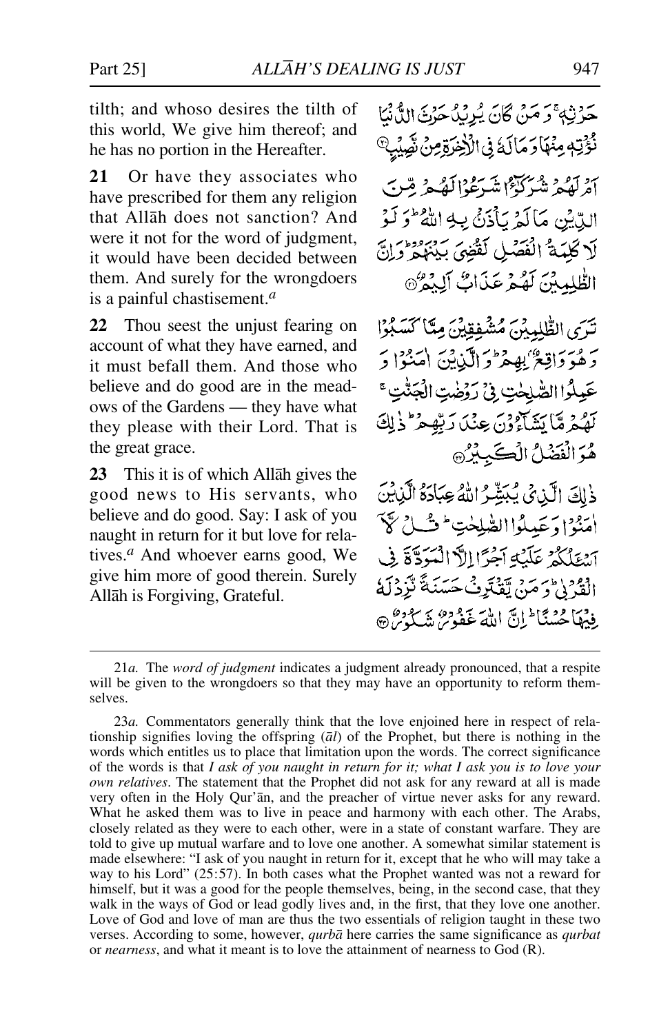tilth; and whoso desires the tilth of this world, We give him thereof; and he has no portion in the Hereafter.

**21** Or have they associates who have prescribed for them any religion that Allåh does not sanction? And were it not for the word of judgment. it would have been decided between them. And surely for the wrongdoers is a painful chastisement.*<sup>a</sup>*

**22** Thou seest the unjust fearing on account of what they have earned, and it must befall them. And those who believe and do good are in the meadows of the Gardens — they have what they please with their Lord. That is the great grace.

**23** This it is of which Allåh gives the good news to His servants, who believe and do good. Say: I ask of you naught in return for it but love for relatives.*<sup>a</sup>* And whoever earns good, We give him more of good therein. Surely Allåh is Forgiving, Grateful.

حَرْثِهِ ۚ وَ مَنْ كَانَ يُرِيبُ حَنْ الدُّنْنَا نُؤْتِهِ مِنْهَادَمَالَهُ فِي الْأَخِيَّةِ مِنْ نَصِّيْبِ أَمْرِلْهُمْ شَيَٰكَيْݣَا مْتَدَعْدَالْكَهُمْ مّْيِرِب الدِّيْنِ مَالَّهْ بِأَذَنَّ بِبِهِ اللَّهُ ۖ وَ لَوْ لَا كَلِيَهَ ۚ الْفَصْلِ لَقُضِيَ بِيَنْهِمْ رَّزَلَ الظُّلِمِينَ لَهُمْ عَذَاتٌ آلِيهُ ﴾ تَدَى الطّْلِيبْنَ مُشْفِقِيْنَ مِيَّا كَسَبُوْا رَهُوَ دَاقِعٌ بِهِمْ وَالَّذِينَ امْنُوْا دَ عَيِلُوا الصّْلِحٰتِ فِي رَوْضِتِ الْجَنّْتِ؟ لَهُمْ مَّا يَشَاءُوْنَ عِنْدَ رَبِّهِمْ ۚ ذٰ لِكَ هُوَ الْفَصْلُ الْكَبِبِيْرُ ذٰلِكَ الَّذِيَ يُبَشِّرُ اللَّهُ عِبَادَهُ الَّذِينَ أمَنُوْ [وَعَبِيلُوا الصّْلِحْتِ ۖ فَ لَيْ لَهِ لَهَ آشِيْلُكُمْ عَلَيْهِ آَجْرًا الْأَالْمَوَدَّةَ فِي الْقَدْرُهُ وَ مَنْ تَقْتَرِفُ حَسَنَةً تَزَدْلَهُ فِيهَا حُسْنَا ۖ إِنَّ اللَّهَ غَفُوسٌ شَكَّدُسٌ ۞

<sup>21</sup>*a.* The *word of judgment* indicates a judgment already pronounced, that a respite will be given to the wrongdoers so that they may have an opportunity to reform themselves.

<sup>23</sup>*a.* Commentators generally think that the love enjoined here in respect of relationship signifies loving the offspring (*ål*) of the Prophet, but there is nothing in the words which entitles us to place that limitation upon the words. The correct significance of the words is that *I ask of you naught in return for it; what I ask you is to love your own relatives*. The statement that the Prophet did not ask for any reward at all is made very often in the Holy Qur'ån, and the preacher of virtue never asks for any reward. What he asked them was to live in peace and harmony with each other. The Arabs, closely related as they were to each other, were in a state of constant warfare. They are told to give up mutual warfare and to love one another. A somewhat similar statement is made elsewhere: "I ask of you naught in return for it, except that he who will may take a way to his Lord" (25:57). In both cases what the Prophet wanted was not a reward for himself, but it was a good for the people themselves, being, in the second case, that they walk in the ways of God or lead godly lives and, in the first, that they love one another. Love of God and love of man are thus the two essentials of religion taught in these two verses. According to some, however, *qurbå* here carries the same significance as *qurbat* or *nearness*, and what it meant is to love the attainment of nearness to God (R).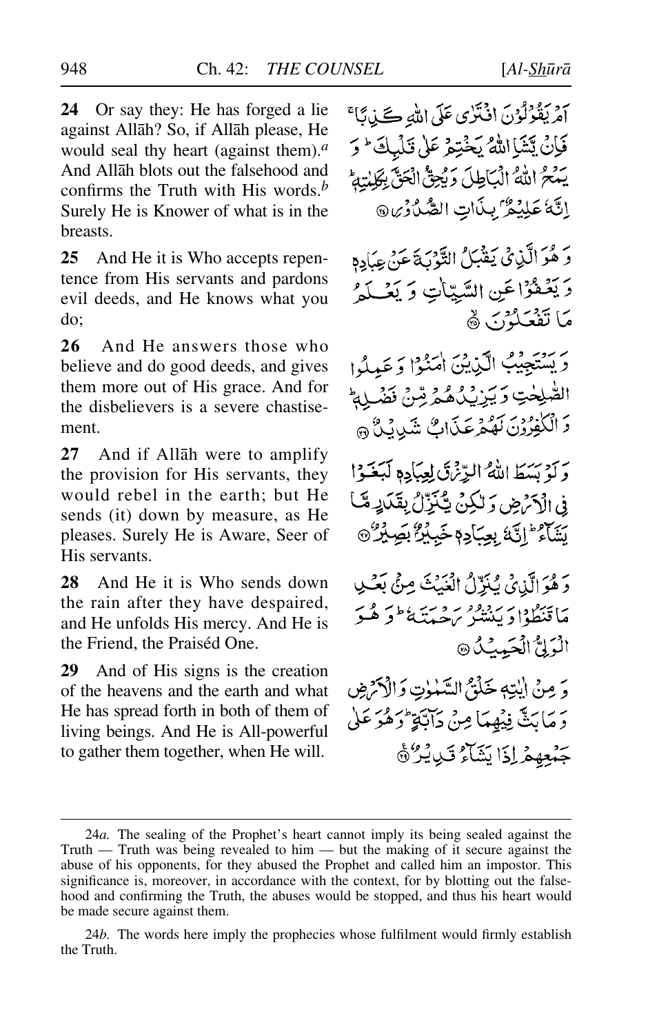**24** Or say they: He has forged a lie against Allåh? So, if Allåh please, He would seal thy heart (against them).*<sup>a</sup>* And Allåh blots out the falsehood and confirms the Truth with His words.*<sup>b</sup>* Surely He is Knower of what is in the breasts.

**25** And He it is Who accepts repentence from His servants and pardons evil deeds, and He knows what you do;

**26** And He answers those who believe and do good deeds, and gives them more out of His grace. And for the disbelievers is a severe chastisement.

**27** And if Allåh were to amplify the provision for His servants, they would rebel in the earth; but He sends (it) down by measure, as He pleases. Surely He is Aware, Seer of His servants.

**28** And He it is Who sends down the rain after they have despaired, and He unfolds His mercy. And He is the Friend, the Praiséd One.

**29** And of His signs is the creation of the heavens and the earth and what He has spread forth in both of them of living beings. And He is All-powerful to gather them together, when He will.

آمْرِيَقُوْلُوْنَ افْتَرْى عَلَى اللهِ كَلِيابًا ۚ فَإِنْ يَتَشَا اللَّهُ يَخْتِمْ عَلَىٰ قَلْمِكَ ۚ وَ يَنْحُ اللَّهُ الْبَاطِلَ وَيُحِقُّ الْحَقَّ بِكَلِّمْتِهِمْ إِنَّهٗ عَلِيْمٌ بِبِذَاتِ الصَّدُوْرِ، @ وَ هُوَ الَّذِي يَقْبَلُ التَّوْبَةَ عَنْ عِبَادِهِ دَ يَعْفَوْا عَنِ السَّيّاتِ وَ يَعْبِكُمْ مَا تَفْعَلْوُنَ ﴾ بريدية من الكنيين المنوا وعبدلوا الصّْلِحْتِ وَيَزِيْكُ هُمْ مِّنْ مَثْرَ ا 2ْ وَ الْكَٰفِرُوْنَ لَهُمْرِعَكَاتٍ شَيْءِيْنٌ ۞ يَ تَوْسَيُطَالِلُهُ البِّانِثَيِّ لِعِبَادِهِ لَيَغَيُّدُا في الْآرْمِينِ وَلَٰكِنۡ يَّكۡنَنَّالُ بِقَدَايِهِ مَّبَا بِيَبَاءُ ۖ إِنَّهٗ بِعِبَادِمٖ خَبِيْرٌ بِصِيْرٌ ﴾ وَ هُوَ الَّذِي كَنَزَّلُ الْغَيْثَ مِنْ بَعْثِ مَاتَنْظُوْا دَيْنَ مُصِيبَةً مِنْ هُ دَيْنِ الْمَوْلِيُّ الْحَمِيثِيُّ @ وَ مِنْ إِيْتِهِ خَلْقٌ السَّلْوٰتِ وَالْأَكْرَضِ دَ مَابَثٌ فِيْهِمَا مِنْ دَابَّةٍ وَهُوَ عَلَى جَمْعِهِمْ إِذَا بَشَاءُ قَبْدِيْرٌ ﴾

<sup>24</sup>*a.* The sealing of the Prophet's heart cannot imply its being sealed against the Truth — Truth was being revealed to him — but the making of it secure against the abuse of his opponents, for they abused the Prophet and called him an impostor. This significance is, moreover, in accordance with the context, for by blotting out the falsehood and confirming the Truth, the abuses would be stopped, and thus his heart would be made secure against them.

<sup>24</sup>*b.* The words here imply the prophecies whose fulfilment would firmly establish the Truth.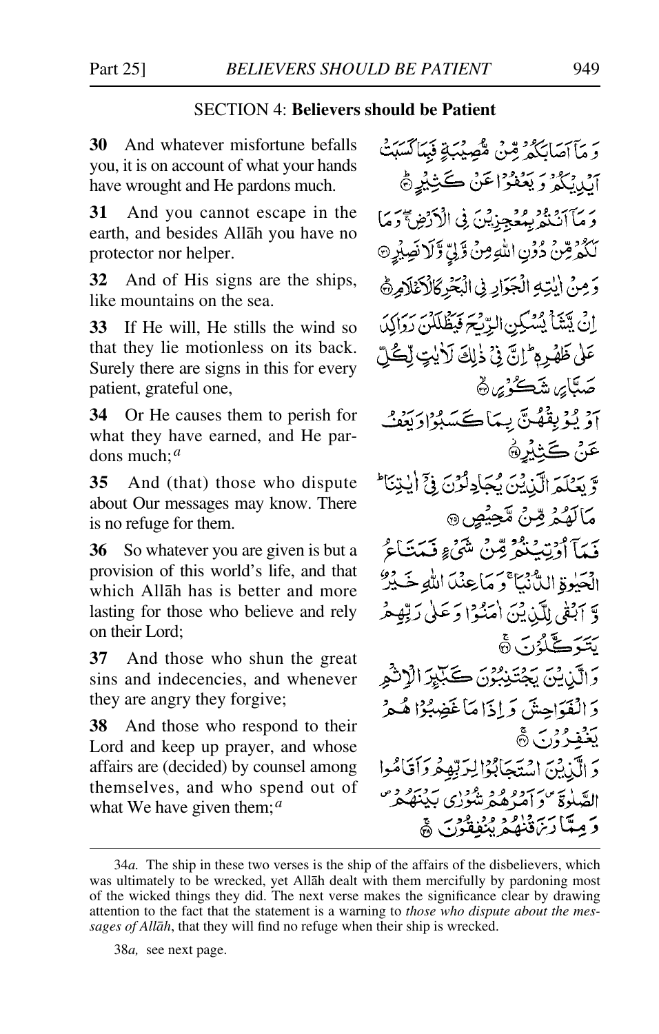## SECTION 4: **Believers should be Patient**

**30** And whatever misfortune befalls you, it is on account of what your hands have wrought and He pardons much.

**31** And you cannot escape in the earth, and besides Allåh you have no protector nor helper.

**32** And of His signs are the ships, like mountains on the sea.

**33** If He will, He stills the wind so that they lie motionless on its back. Surely there are signs in this for every patient, grateful one,

**34** Or He causes them to perish for what they have earned, and He pardons much;*<sup>a</sup>*

**35** And (that) those who dispute about Our messages may know. There is no refuge for them.

**36** So whatever you are given is but a provision of this world's life, and that which Allåh has is better and more lasting for those who believe and rely on their Lord;

**37** And those who shun the great sins and indecencies, and whenever they are angry they forgive;

**38** And those who respond to their Lord and keep up prayer, and whose affairs are (decided) by counsel among themselves, and who spend out of what We have given them;*<sup>a</sup>*

وَمَآاصَابَكُمْ قِنْ مُؤْمِيْبَةٍ فَبِمَاكَسَبَتْ أَبْدِيَكُمْ وَيَعْفَوْاعَنْ كَثِيْرِهِجْ وَمَآآتَنْهُمْ بِمُعْجِزِيْنَ فِي الْأَرْضِ أَوَمَا لَكُمْرِضٌ دُوْنِ اللَّهِ مِنْ وَّلِيِّ وَّلَا نَصِيْرِ ۞ دَمِنْ الْبَيْهِ الْجَزَارِ فِي الْبَحْرِ كَالْأَعْلَامِرَةَ اِنْ يَتَشَأْ يُسْكِنِ الرِّيْحَ فَيَظْلَلْنِ رَوَالِكَ عَلَىٰ ظَهْرِ مِ ۖ إِنَّ فِي ذٰلِكَ لَا يٰتٍ لِّكُلِّ صَبَّايِر، شَڪُوْيِر، ڇُ اَوْ يُؤْبِقْهُنَّ بِيمَاڪَسَبُوْادِ بَعْفُ عَنْ كَثِيْرِ۞ وَّ بَعَكَمَ الَّذِيْنَ يُجَادِكُونَ فِيَّ أَيْتِنَا ۚ مَالَهُمْ مِّنْ مَّحِيْصٍ ۞ فَيِدَآ أَوْتِبَنَّعُوَّ قِينُ شَيْءٍ فَيَدَيْنَاءُ الْحَيْوةِ الدُّنْبَا ۚ وَ مَاعِنْدَ اللَّهِ خَـٰ يُرْ وَّ ٱبْقَى لِلَّذِيْنَ أَمَنُوْا دَعَلَىٰ رَبِّهِ هُ يَتَبَرَكَّلُّهُ دِبَ ٦ وَالَّذِينَ بِحِقَنِيْبُوْنَ كَيَبْيِرَ الْإِنْثُمِ دَ الْفَوَاحِشَ وَ إِذَا مَا غَضِبُهُ! هُيمْ يَغْفِرُوْنَ۞ دَ إِلَيْنِ بِهِنْ إِسْتَحَابُوْالِدَبْعِفْرِ دَأَقَاهُوا القبلوة وسيهوه وهجودي ببينهكر وَصِبَّا رَبَّةُ وَاصَّرَ مِنَّوْقَوْنَ ﴾

38*a,* see next page.

<sup>34</sup>*a.* The ship in these two verses is the ship of the affairs of the disbelievers, which was ultimately to be wrecked, yet Allåh dealt with them mercifully by pardoning most of the wicked things they did. The next verse makes the significance clear by drawing attention to the fact that the statement is a warning to *those who dispute about the messages of Allåh*, that they will find no refuge when their ship is wrecked.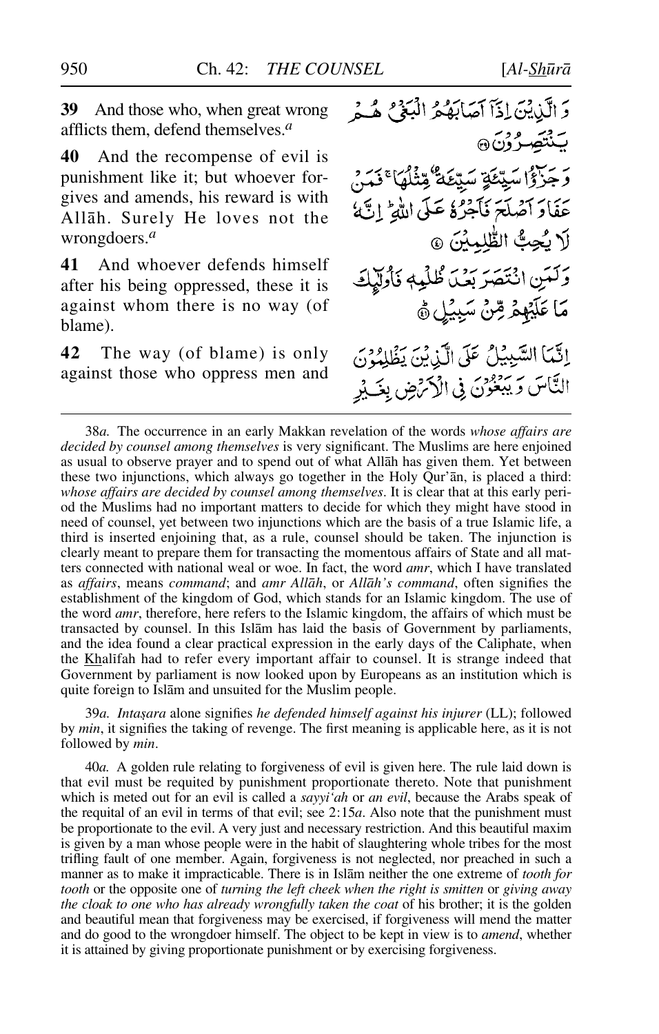**39** And those who, when great wrong afflicts them, defend themselves.*<sup>a</sup>*

**40** And the recompense of evil is punishment like it; but whoever forgives and amends, his reward is with Allåh. Surely He loves not the wrongdoers.*<sup>a</sup>*

**41** And whoever defends himself after his being oppressed, these it is against whom there is no way (of blame).

**42** The way (of blame) is only against those who oppress men and وَ الَّذِينَ إِذَآ أَصَابَهُمُ الْبَعۡيُ هُـُمۡ بَنْتَصِرُوْنَ @ رَ رَبِّهِمْ سَيِّئَةٍ سَيِّئَةٌ مِّثْلُهَا ۚ فَمَنْ عَفَادَ آصُلَحَ نَآجَرُهُ عَلَى اللَّهِ ۚ إِنَّهُ لَا يُحِبُّ الطُّلِبِيْنَ ۞ وَكَيَنِ انْتَصَرَبِكَ ظُلْمِهِ فَأُولِّيْكَ مَا عَلَيْهِمْ مِّنْ سَبِيْلِ هِ إِنَّمَا السَّبِيْلُ عَلَى الَّذِيْنَ يَظْلِمُونَ النَّاسَ وَيَبْعُونَ فِي الْأَكْرَضِ بِغَـٰ يُرِ

38*a.* The occurrence in an early Makkan revelation of the words *whose affairs are decided by counsel among themselves* is very significant. The Muslims are here enjoined as usual to observe prayer and to spend out of what Allåh has given them. Yet between these two injunctions, which always go together in the Holy Qur'ån, is placed a third: *whose affairs are decided by counsel among themselves*. It is clear that at this early period the Muslims had no important matters to decide for which they might have stood in need of counsel, yet between two injunctions which are the basis of a true Islamic life, a third is inserted enjoining that, as a rule, counsel should be taken. The injunction is clearly meant to prepare them for transacting the momentous affairs of State and all matters connected with national weal or woe. In fact, the word *amr*, which I have translated as *affairs*, means *command*; and *amr Allåh*, or *Allåh's command*, often signifies the establishment of the kingdom of God, which stands for an Islamic kingdom. The use of the word *amr*, therefore, here refers to the Islamic kingdom, the affairs of which must be transacted by counsel. In this Islåm has laid the basis of Government by parliaments, and the idea found a clear practical expression in the early days of the Caliphate, when the Khalßfah had to refer every important affair to counsel. It is strange indeed that Government by parliament is now looked upon by Europeans as an institution which is quite foreign to Islåm and unsuited for the Muslim people.

39a. Intașara alone signifies he defended himself against his injurer (LL); followed by *min*, it signifies the taking of revenge. The first meaning is applicable here, as it is not followed by *min*.

40*a.* A golden rule relating to forgiveness of evil is given here. The rule laid down is that evil must be requited by punishment proportionate thereto. Note that punishment which is meted out for an evil is called a *sayyi'ah* or *an evil*, because the Arabs speak of the requital of an evil in terms of that evil; see 2:15*a*. Also note that the punishment must be proportionate to the evil. A very just and necessary restriction. And this beautiful maxim is given by a man whose people were in the habit of slaughtering whole tribes for the most trifling fault of one member. Again, forgiveness is not neglected, nor preached in such a manner as to make it impracticable. There is in Islåm neither the one extreme of *tooth for tooth* or the opposite one of *turning the left cheek when the right is smitten* or *giving away the cloak to one who has already wrongfully taken the coat* of his brother; it is the golden and beautiful mean that forgiveness may be exercised, if forgiveness will mend the matter and do good to the wrongdoer himself. The object to be kept in view is to *amend*, whether it is attained by giving proportionate punishment or by exercising forgiveness.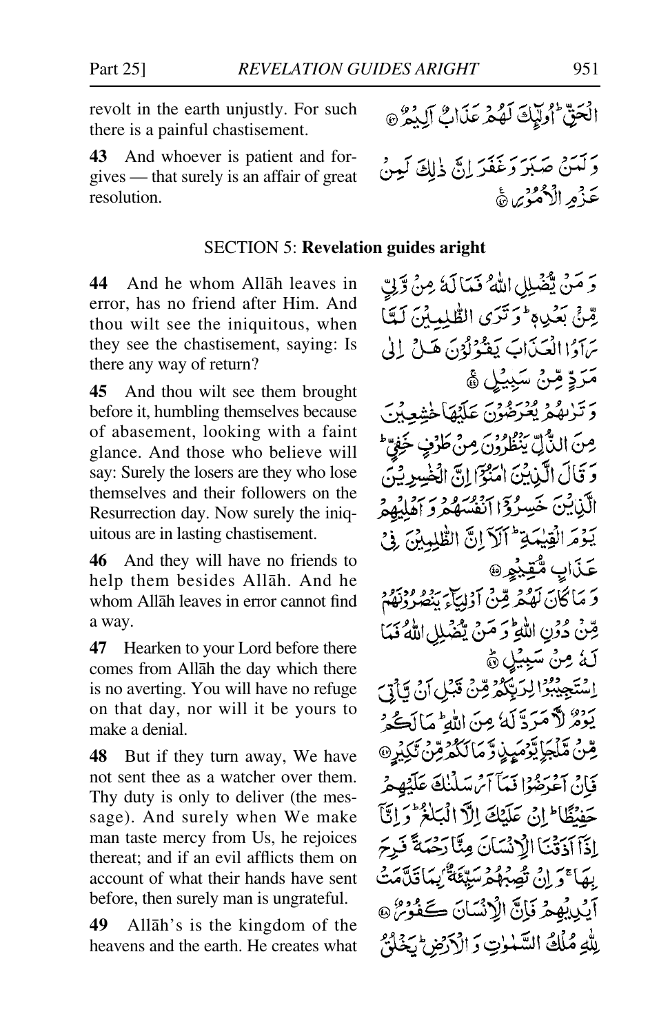revolt in the earth unjustly. For such there is a painful chastisement.

**43** And whoever is patient and forgives — that surely is an affair of great resolution.

#### SECTION 5: **Revelation guides aright**

**44** And he whom Allåh leaves in error, has no friend after Him. And thou wilt see the iniquitous, when they see the chastisement, saying: Is there any way of return?

**45** And thou wilt see them brought before it, humbling themselves because of abasement, looking with a faint glance. And those who believe will say: Surely the losers are they who lose themselves and their followers on the Resurrection day. Now surely the iniquitous are in lasting chastisement.

**46** And they will have no friends to help them besides Allåh. And he whom Allåh leaves in error cannot find a way.

**47** Hearken to your Lord before there comes from Allåh the day which there is no averting. You will have no refuge on that day, nor will it be yours to make a denial.

**48** But if they turn away, We have not sent thee as a watcher over them. Thy duty is only to deliver (the message). And surely when We make man taste mercy from Us, he rejoices thereat; and if an evil afflicts them on account of what their hands have sent before, then surely man is ungrateful.

**49** Allåh's is the kingdom of the heavens and the earth. He creates what

وَ مَنْ يُضْلِلِ اللَّهُ فَيَالَهُ مِنْ وَّلِّ يِّنِيٍّ بَعْدِهِ وَتَرَى الطَّلِمِينَ لَمِّيَّا يَهَ وَا الْعَيْدَابَ يَعْوُلُوْنَ هَيْ إِلَىٰ مَرَدٍّ مِّنْ سَبِيْلٍ ﴾ رين وو ورود.<br>د تربهگريغرضون عَلَيْهَاڅَشعَيْرَ، مِنَ الذَّلِّ يَنْظُرُونَ مِنْ طَرْنٍ خَفِيِّ وَ قَالَ الَّذِينَ امْنُوْٓا إِنَّ الۡخَٰسِرِيْنَ الَّذِينَ خَسِيرُوٓ اأَنْفُسُهُمْ وَ إِهْلُهُمْ يَدَّمَ الْقِيْدَةِ ۖ أَلَٰٓ إِنَّ الظَّلِّدِينَ ۚ فَيَ عَذَابِ مُّقِيْهِرِ@ دَ مَا كَانَ لَهُمْهُ مِّنْ أَدْلِيَاءَ بِبْصُرُدْتُهُمْ قِنْ دُونِ اللَّهِ وَ مَنْ يَثْمَلِلِ اللَّهُ فَمَا لَهُ مِنْ سَبِيْلِ هُ اسْتَجِيْبُرُ الرَبِّكُمْ قِنْ قَبْلِ أَنْ يَاْتِيَ يَوْمُ لاَ مَرَدَّ لَهُ مِنَ اللَّهِ مَالَكُ وَ ڡؚؖڹ۠*ۿ*ڷۼٳؾؖۯ*ڡؠؘ*ؠۣۏڗؖۄؘٵڵػۄؙڞؚ<sub>ڐ</sub>ڹ۠ػۣؽؙڔۣ۞ فَإِنْ آَعْدَهُوْا فَيَآَامُ سَلَّنُكَ عَلَيْهِمْ حَفْنَظَا إِنِّي عَلَيْكَ إِلَّا الْمَبَلَّٰذُ وَإِنَّا إذَا آدَقْنَا الْأَنْسَانَ مِنَّا رَحْمَةً فَدِحَ بِهَا ۚ وَ إِنْ تَصِبْهُمْ سَبِيِّئَةٌ ۢ بِيَا تَدَّمَّتُ آيُدِيْهِمْ فَإِنَّ الْإِنْسَانَ كَفُوْمٌ @ بِلَّهِ مُلْكُ السَّنْزِتِ دَ الْكَرْضِ لَجَنَّكُمْ

الْحَقّْ أُولَيْكَ لَهُمْ عَذَابٌ آلِدُوْنَ

وَكْمَنْ صَبْرَ وَغَفَرَ إِنَّ ذٰلِكَ لَمِينُ

عَذْمِ الْأَهْمُوْيِءَ هَ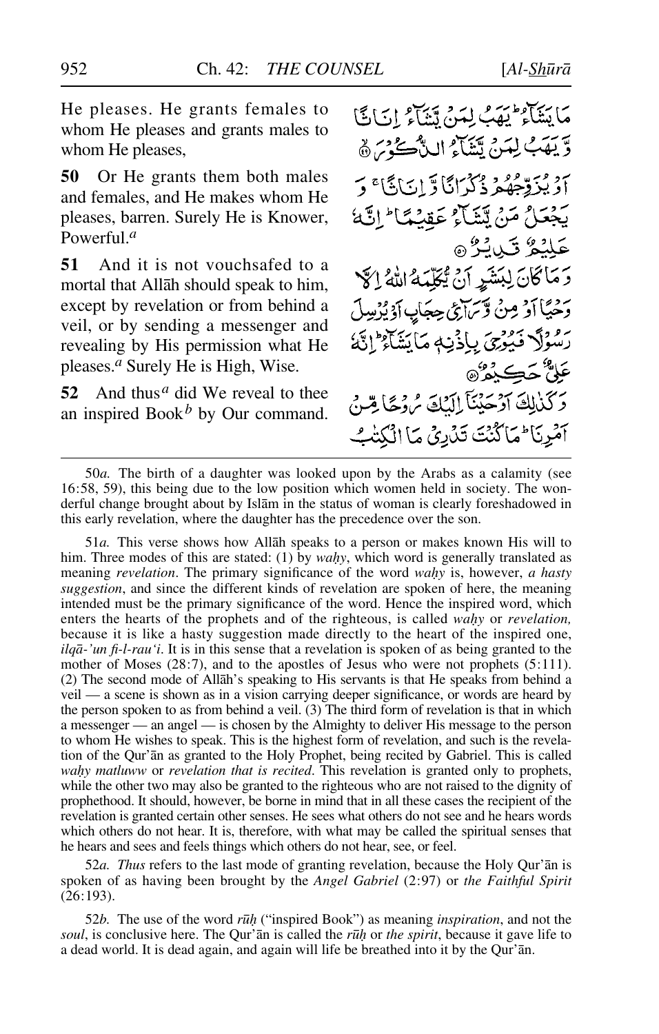He pleases. He grants females to whom He pleases and grants males to whom He pleases,

**50** Or He grants them both males and females, and He makes whom He pleases, barren. Surely He is Knower, Powerful.*<sup>a</sup>*

**51** And it is not vouchsafed to a mortal that Allåh should speak to him, except by revelation or from behind a veil, or by sending a messenger and revealing by His permission what He pleases.*<sup>a</sup>* Surely He is High, Wise.

52 And thus<sup>*a*</sup> did We reveal to thee an inspired Book*<sup>b</sup>* by Our command.

مَا يَتَنَاهُ لَيْهَبُ لِمَنْ يَتَنَاهُ إِنَّ كَتَا وِّيعَةَ لِيَدِجْ تَتَنَاهُ اللَّهُ ۖ يَحْرَرُهُمْ 7 بِرِيْرِهِمْ ذَكَرَانَا وَّ إِنَائَاً؟ وَ بَجْعَلُ مَنْ يَتَثَاثِرُ عَقِبْهَا ۖ إِنَّهَا عَلْيْمٌ قَبْلُ هُ وَمَاكَانَ لِبَشَرٍ أَنْ يُكَلِّمَهُ اللَّهُ إِلَيْ وَحْيَاً أَوْ مِنْ وَّسَرْعَىٰ حِجَابِ أَدْيُرْسِلَ ر موداد فَيُؤْرِىَ بِإِذْيَامِ مَا يَشَاءُ إِنَّهُ عَلِيٌّ حَڪِيْمُ® وَكَنْزِلِكَ آَوْجَئِنَآ إِلَيْكَ مُ وَجَّا مِّنْ آمُرِنَا فِمَا كُنْتَ تَدْرِيْ مَا الْكُتْبُ

51*a.* This verse shows how Allåh speaks to a person or makes known His will to him. Three modes of this are stated: (1) by *wahy*, which word is generally translated as meaning *revelation*. The primary significance of the word *wahy* is, however, *a hasty suggestion*, and since the different kinds of revelation are spoken of here, the meaning intended must be the primary significance of the word. Hence the inspired word, which enters the hearts of the prophets and of the righteous, is called *wahy* or *revelation*, because it is like a hasty suggestion made directly to the heart of the inspired one, *ilqå-'un fi-l-rau'i*. It is in this sense that a revelation is spoken of as being granted to the mother of Moses (28:7), and to the apostles of Jesus who were not prophets (5:111). (2) The second mode of Allåh's speaking to His servants is that He speaks from behind a veil — a scene is shown as in a vision carrying deeper significance, or words are heard by the person spoken to as from behind a veil. (3) The third form of revelation is that in which a messenger — an angel — is chosen by the Almighty to deliver His message to the person to whom He wishes to speak. This is the highest form of revelation, and such is the revelation of the Qur'ån as granted to the Holy Prophet, being recited by Gabriel. This is called wahy matluww or *revelation that is recited*. This revelation is granted only to prophets, while the other two may also be granted to the righteous who are not raised to the dignity of prophethood. It should, however, be borne in mind that in all these cases the recipient of the revelation is granted certain other senses. He sees what others do not see and he hears words which others do not hear. It is, therefore, with what may be called the spiritual senses that he hears and sees and feels things which others do not hear, see, or feel.

52*a. Thus* refers to the last mode of granting revelation, because the Holy Qur'ån is spoken of as having been brought by the *Angel Gabriel* (2:97) or *the Faithful Spirit* (26:193).

52*b.* The use of the word *r∂√* ("inspired Book") as meaning *inspiration*, and not the *soul*, is conclusive here. The Qur'ān is called the *rū∤* or *the spirit*, because it gave life to a dead world. It is dead again, and again will life be breathed into it by the Qur'ån.

<sup>50</sup>*a.* The birth of a daughter was looked upon by the Arabs as a calamity (see 16:58, 59), this being due to the low position which women held in society. The wonderful change brought about by Islåm in the status of woman is clearly foreshadowed in this early revelation, where the daughter has the precedence over the son.